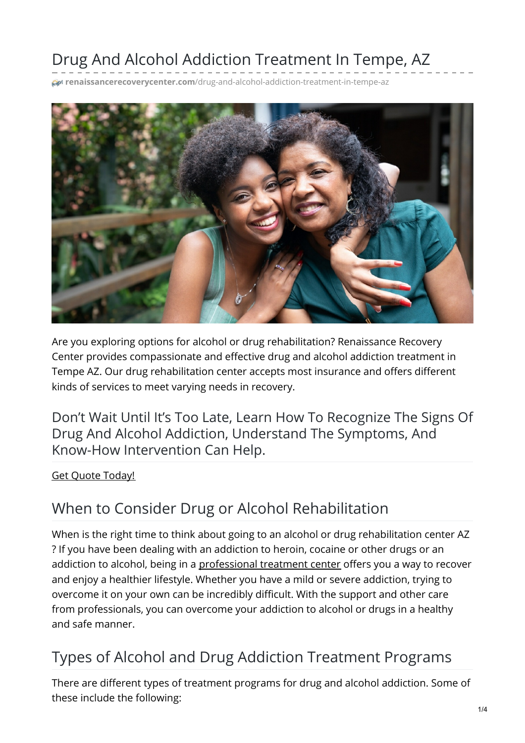# Drug And Alcohol Addiction Treatment In Tempe, AZ

**renaissancerecoverycenter.com**[/drug-and-alcohol-addiction-treatment-in-tempe-az](https://www.renaissancerecoverycenter.com/drug-and-alcohol-addiction-treatment-in-tempe-az/)



Are you exploring options for alcohol or drug rehabilitation? Renaissance Recovery Center provides compassionate and effective drug and alcohol addiction treatment in Tempe AZ. Our drug rehabilitation center accepts most insurance and offers different kinds of services to meet varying needs in recovery.

Don't Wait Until It's Too Late, Learn How To Recognize The Signs Of Drug And Alcohol Addiction, Understand The Symptoms, And Know-How Intervention Can Help.

#### Get Quote [Today!](tel:480.725.8367)

### When to Consider Drug or Alcohol Rehabilitation

When is the right time to think about going to an alcohol or drug rehabilitation center AZ ? If you have been dealing with an addiction to heroin, cocaine or other drugs or an addiction to alcohol, being in a [professional](https://www.renaissancerecoverycenter.com/about-us/the-renaissance-recovery-difference/) treatment center offers you a way to recover and enjoy a healthier lifestyle. Whether you have a mild or severe addiction, trying to overcome it on your own can be incredibly difficult. With the support and other care from professionals, you can overcome your addiction to alcohol or drugs in a healthy and safe manner.

## Types of Alcohol and Drug Addiction Treatment Programs

There are different types of treatment programs for drug and alcohol addiction. Some of these include the following: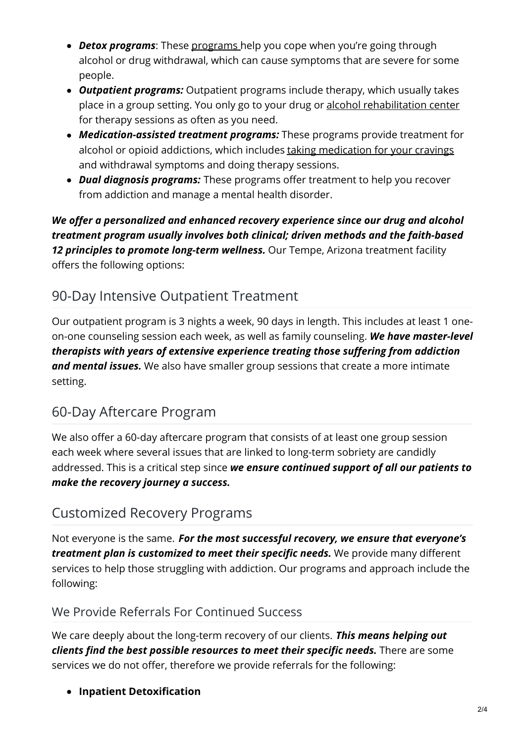- *Detox programs*: These [programs](https://www.renaissancerecoverycenter.com/detox/) help you cope when you're going through alcohol or drug withdrawal, which can cause symptoms that are severe for some people.
- *Outpatient programs:* Outpatient programs include therapy, which usually takes place in a group setting. You only go to your drug or alcohol [rehabilitation](https://www.renaissancerecoverycenter.com/outpatient-treatment/) center for therapy sessions as often as you need.
- *Medication-assisted treatment programs:* These programs provide treatment for alcohol or opioid addictions, which includes taking [medication](http://v/) for your cravings and withdrawal symptoms and doing therapy sessions.
- *Dual diagnosis programs:* These programs offer treatment to help you recover from addiction and manage a mental health disorder.

*We offer a personalized and enhanced recovery experience since our drug and alcohol treatment program usually involves both clinical; driven methods and the faith-based 12 principles to promote long-term wellness.* Our Tempe, Arizona treatment facility offers the following options:

### 90-Day Intensive Outpatient Treatment

Our outpatient program is 3 nights a week, 90 days in length. This includes at least 1 oneon-one counseling session each week, as well as family counseling. *We have master-level therapists with years of extensive experience treating those suffering from addiction and mental issues.* We also have smaller group sessions that create a more intimate setting.

### 60-Day Aftercare Program

We also offer a 60-day aftercare program that consists of at least one group session each week where several issues that are linked to long-term sobriety are candidly addressed. This is a critical step since *we ensure continued support of all our patients to make the recovery journey a success.*

#### Customized Recovery Programs

Not everyone is the same. *For the most successful recovery, we ensure that everyone's treatment plan is customized to meet their specific needs.* We provide many different services to help those struggling with addiction. Our programs and approach include the following:

#### We Provide Referrals For Continued Success

We care deeply about the long-term recovery of our clients. *This means helping out clients find the best possible resources to meet their specific needs.* There are some services we do not offer, therefore we provide referrals for the following:

**Inpatient Detoxification**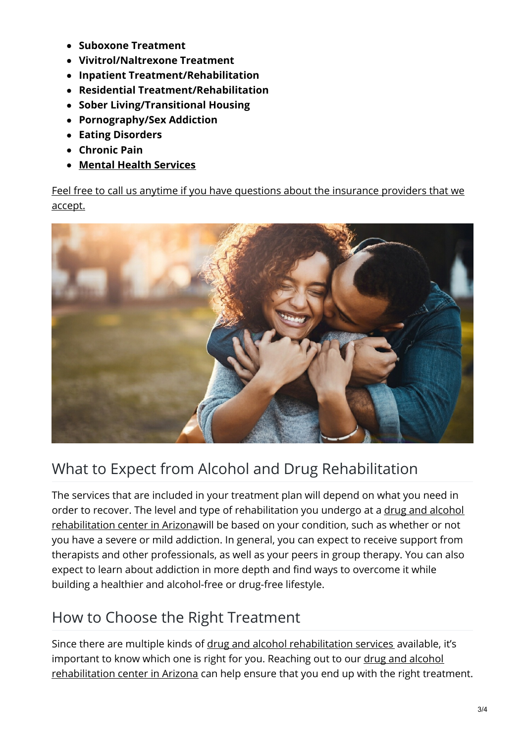- **Suboxone Treatment**
- **Vivitrol/Naltrexone Treatment**
- **Inpatient Treatment/Rehabilitation**
- **Residential Treatment/Rehabilitation**
- **Sober Living/Transitional Housing**
- **Pornography/Sex Addiction**
- **Eating Disorders**
- **Chronic Pain**
- **Mental Health [Services](https://www.renaissancerecoverycenter.com/mental-health-and-dual-diagnosis/)**

Feel free to call us anytime if you have questions about the [insurance](https://www.renaissancerecoverycenter.com/programs-and-services/insurance-providers-we-accept/) providers that we accept.



# What to Expect from Alcohol and Drug Rehabilitation

The services that are included in your treatment plan will depend on what you need in order to recover. The level and type of [rehabilitation](https://www.renaissancerecoverycenter.com/about-us/) you undergo at a drug and alcohol rehabilitation center in Arizonawill be based on your condition, such as whether or not you have a severe or mild addiction. In general, you can expect to receive support from therapists and other professionals, as well as your peers in group therapy. You can also expect to learn about addiction in more depth and find ways to overcome it while building a healthier and alcohol-free or drug-free lifestyle.

# How to Choose the Right Treatment

Since there are multiple kinds of drug and alcohol [rehabilitation](https://www.renaissancerecoverycenter.com/arizona-drug-rehabilitation/) services available, it's important to know which one is right for you. Reaching out to our drug and alcohol [rehabilitation](https://www.renaissancerecoverycenter.com/outpatient-treatment/) center in Arizona can help ensure that you end up with the right treatment.